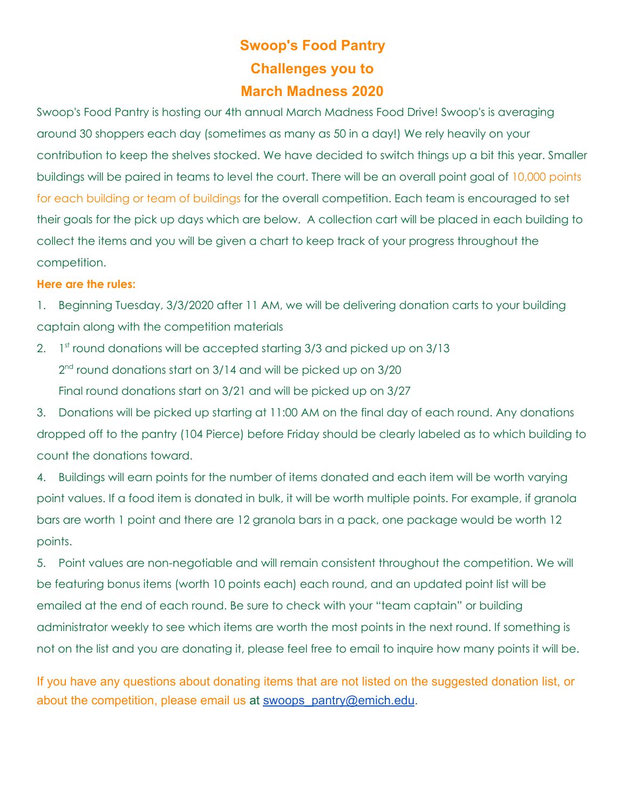## **Swoop's Food Pantry Challenges you to March Madness 2020**

Swoop's Food Pantry is hosting our 4th annual March Madness Food Drive! Swoop's is averaging around 30 shoppers each day (sometimes as many as 50 in a day!) We rely heavily on your contribution to keep the shelves stocked. We have decided to switch things up a bit this year. Smaller buildings will be paired in teams to level the court. There will be an overall point goal of 10,000 points for each building or team of buildings for the overall competition. Each team is encouraged to set their goals for the pick up days which are below. A collection cart will be placed in each building to collect the items and you will be given a chart to keep track of your progress throughout the competition.

## **Here are the rules:**

1. Beginning Tuesday, 3/3/2020 after 11 AM, we will be delivering donation carts to your building captain along with the competition materials

2. 1<sup>st</sup> round donations will be accepted starting 3/3 and picked up on 3/13 2<sup>nd</sup> round donations start on 3/14 and will be picked up on 3/20 Final round donations start on 3/21 and will be picked up on 3/27

3. Donations will be picked up starting at 11:00 AM on the final day of each round. Any donations dropped off to the pantry (104 Pierce) before Friday should be clearly labeled as to which building to count the donations toward.

4. Buildings will earn points for the number of items donated and each item will be worth varying point values. If a food item is donated in bulk, it will be worth multiple points. For example, if granola bars are worth 1 point and there are 12 granola bars in a pack, one package would be worth 12 points.

5. Point values are non-negotiable and will remain consistent throughout the competition. We will be featuring bonus items (worth 10 points each) each round, and an updated point list will be emailed at the end of each round. Be sure to check with your "team captain" or building administrator weekly to see which items are worth the most points in the next round. If something is not on the list and you are donating it, please feel free to email to inquire how many points it will be.

If you have any questions about donating items that are not listed on the suggested donation list, or about the competition, please email us at [swoops\\_pantry@emich.edu.](mailto:swoops_pantry@emich.edu)